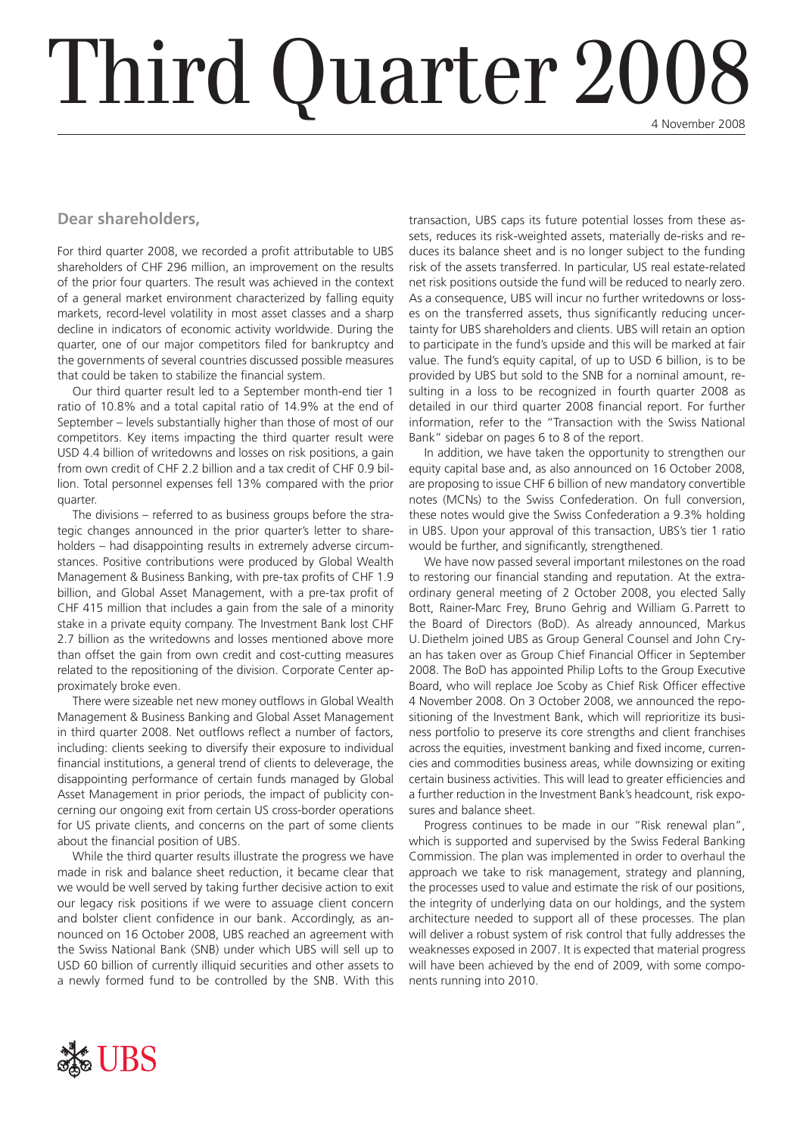# Third Quarter 2008

### **Dear shareholders,**

For third quarter 2008, we recorded a profit attributable to UBS shareholders of CHF 296 million, an improvement on the results of the prior four quarters. The result was achieved in the context of a general market environment characterized by falling equity markets, record-level volatility in most asset classes and a sharp decline in indicators of economic activity worldwide. During the quarter, one of our major competitors filed for bankruptcy and the governments of several countries discussed possible measures that could be taken to stabilize the financial system.

Our third quarter result led to a September month-end tier 1 ratio of 10.8% and a total capital ratio of 14.9% at the end of September – levels substantially higher than those of most of our competitors. Key items impacting the third quarter result were USD 4.4 billion of writedowns and losses on risk positions, a gain from own credit of CHF 2.2 billion and a tax credit of CHF 0.9 billion. Total personnel expenses fell 13% compared with the prior quarter.

The divisions – referred to as business groups before the strategic changes announced in the prior quarter's letter to shareholders – had disappointing results in extremely adverse circumstances. Positive contributions were produced by Global Wealth Management & Business Banking, with pre-tax profits of CHF 1.9 billion, and Global Asset Management, with a pre-tax profit of CHF 415 million that includes a gain from the sale of a minority stake in a private equity company. The Investment Bank lost CHF 2.7 billion as the writedowns and losses mentioned above more than offset the gain from own credit and cost-cutting measures related to the repositioning of the division. Corporate Center approximately broke even.

There were sizeable net new money outflows in Global Wealth Management & Business Banking and Global Asset Management in third quarter 2008. Net outflows reflect a number of factors, including: clients seeking to diversify their exposure to individual financial institutions, a general trend of clients to deleverage, the disappointing performance of certain funds managed by Global Asset Management in prior periods, the impact of publicity concerning our ongoing exit from certain US cross-border operations for US private clients, and concerns on the part of some clients about the financial position of UBS.

While the third quarter results illustrate the progress we have made in risk and balance sheet reduction, it became clear that we would be well served by taking further decisive action to exit our legacy risk positions if we were to assuage client concern and bolster client confidence in our bank. Accordingly, as announced on 16 October 2008, UBS reached an agreement with the Swiss National Bank (SNB) under which UBS will sell up to USD 60 billion of currently illiquid securities and other assets to a newly formed fund to be controlled by the SNB. With this

transaction, UBS caps its future potential losses from these assets, reduces its risk-weighted assets, materially de-risks and reduces its balance sheet and is no longer subject to the funding risk of the assets transferred. In particular, US real estate-related net risk positions outside the fund will be reduced to nearly zero. As a consequence, UBS will incur no further writedowns or losses on the transferred assets, thus significantly reducing uncertainty for UBS shareholders and clients. UBS will retain an option to participate in the fund's upside and this will be marked at fair value. The fund's equity capital, of up to USD 6 billion, is to be provided by UBS but sold to the SNB for a nominal amount, resulting in a loss to be recognized in fourth quarter 2008 as detailed in our third quarter 2008 financial report. For further information, refer to the "Transaction with the Swiss National Bank" sidebar on pages 6 to 8 of the report.

In addition, we have taken the opportunity to strengthen our equity capital base and, as also announced on 16 October 2008, are proposing to issue CHF 6 billion of new mandatory convertible notes (MCNs) to the Swiss Confederation. On full conversion, these notes would give the Swiss Confederation a 9.3% holding in UBS. Upon your approval of this transaction, UBS's tier 1 ratio would be further, and significantly, strengthened.

We have now passed several important milestones on the road to restoring our financial standing and reputation. At the extraordinary general meeting of 2 October 2008, you elected Sally Bott, Rainer-Marc Frey, Bruno Gehrig and William G. Parrett to the Board of Directors (BoD). As already announced, Markus U.Diethelm joined UBS as Group General Counsel and John Cryan has taken over as Group Chief Financial Officer in September 2008. The BoD has appointed Philip Lofts to the Group Executive Board, who will replace Joe Scoby as Chief Risk Officer effective 4 November 2008. On 3 October 2008, we announced the repositioning of the Investment Bank, which will reprioritize its business portfolio to preserve its core strengths and client franchises across the equities, investment banking and fixed income, currencies and commodities business areas, while downsizing or exiting certain business activities. This will lead to greater efficiencies and a further reduction in the Investment Bank's headcount, risk exposures and balance sheet.

Progress continues to be made in our "Risk renewal plan", which is supported and supervised by the Swiss Federal Banking Commission. The plan was implemented in order to overhaul the approach we take to risk management, strategy and planning, the processes used to value and estimate the risk of our positions, the integrity of underlying data on our holdings, and the system architecture needed to support all of these processes. The plan will deliver a robust system of risk control that fully addresses the weaknesses exposed in 2007. It is expected that material progress will have been achieved by the end of 2009, with some components running into 2010.

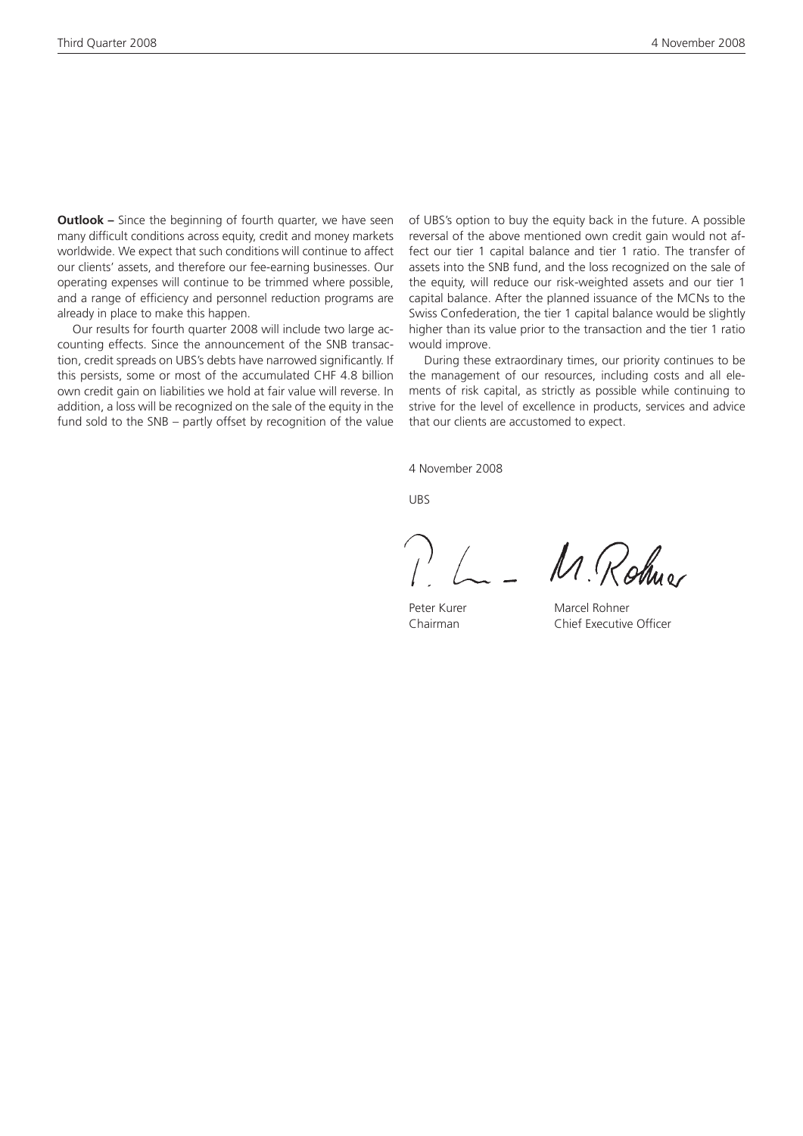**Outlook –** Since the beginning of fourth quarter, we have seen many difficult conditions across equity, credit and money markets worldwide. We expect that such conditions will continue to affect our clients' assets, and therefore our fee-earning businesses. Our operating expenses will continue to be trimmed where possible, and a range of efficiency and personnel reduction programs are already in place to make this happen.

Our results for fourth quarter 2008 will include two large accounting effects. Since the announcement of the SNB transaction, credit spreads on UBS's debts have narrowed significantly. If this persists, some or most of the accumulated CHF 4.8 billion own credit gain on liabilities we hold at fair value will reverse. In addition, a loss will be recognized on the sale of the equity in the fund sold to the SNB – partly offset by recognition of the value

of UBS's option to buy the equity back in the future. A possible reversal of the above mentioned own credit gain would not affect our tier 1 capital balance and tier 1 ratio. The transfer of assets into the SNB fund, and the loss recognized on the sale of the equity, will reduce our risk-weighted assets and our tier 1 capital balance. After the planned issuance of the MCNs to the Swiss Confederation, the tier 1 capital balance would be slightly higher than its value prior to the transaction and the tier 1 ratio would improve.

During these extraordinary times, our priority continues to be the management of our resources, including costs and all elements of risk capital, as strictly as possible while continuing to strive for the level of excellence in products, services and advice that our clients are accustomed to expect.

4 November 2008

UBS

M. Rohner

Peter Kurer Marcel Rohner Chairman Chief Executive Officer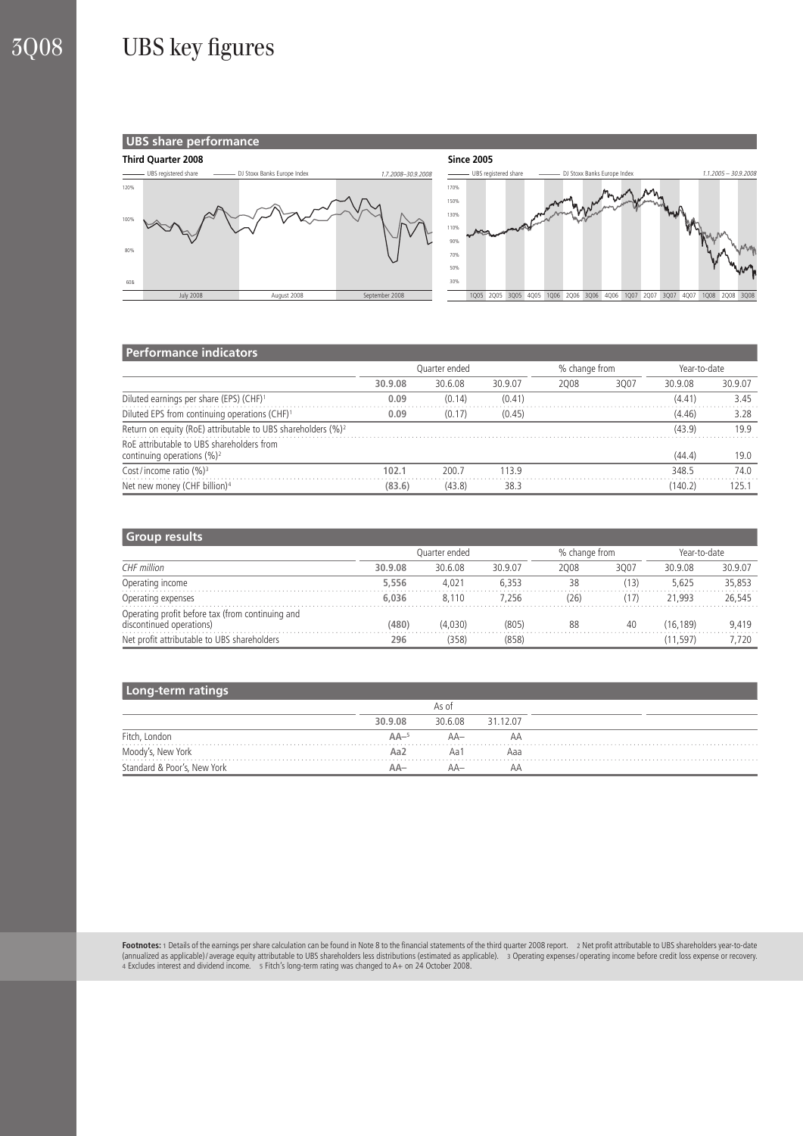



| <b>Performance indicators</b>                                               |               |         |         |               |      |              |         |
|-----------------------------------------------------------------------------|---------------|---------|---------|---------------|------|--------------|---------|
|                                                                             | Ouarter ended |         |         | % change from |      | Year-to-date |         |
|                                                                             | 30.9.08       | 30.6.08 | 30.9.07 | 2008          | 3007 | 30.9.08      | 30.9.07 |
| Diluted earnings per share (EPS) (CHF) <sup>1</sup>                         | 0.09          | (0.14)  | (0.41)  |               |      | (4.41)       | 3.45    |
| Diluted EPS from continuing operations (CHF) <sup>1</sup>                   | 0.09          | (0.17)  | (0.45)  |               |      | (4.46)       | 3.28    |
| Return on equity (RoE) attributable to UBS shareholders (%) <sup>2</sup>    |               |         |         |               |      | (43.9)       | 19.9    |
| RoE attributable to UBS shareholders from<br>continuing operations $(\%)^2$ |               |         |         |               |      | (44.4)       | 19.0    |
| Cost/income ratio (%) <sup>3</sup>                                          | 102.1         | 200.7   | 113.9   |               |      | 348.5        | 74.0    |
| Net new money (CHF billion) <sup>4</sup>                                    | (83.6)        | (43.8)  | 38.3    |               |      | (140.2)      | 125.1   |

| <b>Group results</b>                                                         |               |         |         |               |      |              |         |
|------------------------------------------------------------------------------|---------------|---------|---------|---------------|------|--------------|---------|
|                                                                              | Ouarter ended |         |         | % change from |      | Year-to-date |         |
| CHF million                                                                  | 30.9.08       | 30.6.08 | 30.9.07 | 2008          | 3007 | 30.9.08      | 30.9.07 |
| Operating income                                                             | 5,556         | 4.021   | 6.353   | 38            | (13) | 5.625        | 35.853  |
| Operating expenses                                                           | 6.036         | 8.110   | 7.256   | (26)          | (17) | 21.993       | 26.545  |
| Operating profit before tax (from continuing and<br>discontinued operations) | (480)         | (4,030) | (805)   | 88            | 40   | (16.189)     | 9.419   |
| Net profit attributable to UBS shareholders                                  | 296           | (358)   | (858)   |               |      | (11.597)     | 7.720   |

### **Long-term ratings**

|                             |         | As of   |          |  |
|-----------------------------|---------|---------|----------|--|
|                             | 30.9.08 | 30.6.08 | 31.12.07 |  |
| Fitch, London               | $AA-5$  | $AA-$   | АΑ       |  |
| Moody's, New York           | Aa2     | Aa1     | Aaa      |  |
| Standard & Poor's, New York | AA–     | AA—     | ΑА       |  |

Footnotes: 1 Details of the earnings per share calculation can be found in Note 8 to the financial statements of the third quarter 2008 report. 2 Net profit attributable to UBS shareholders year-to-date<br>(annualized as appl